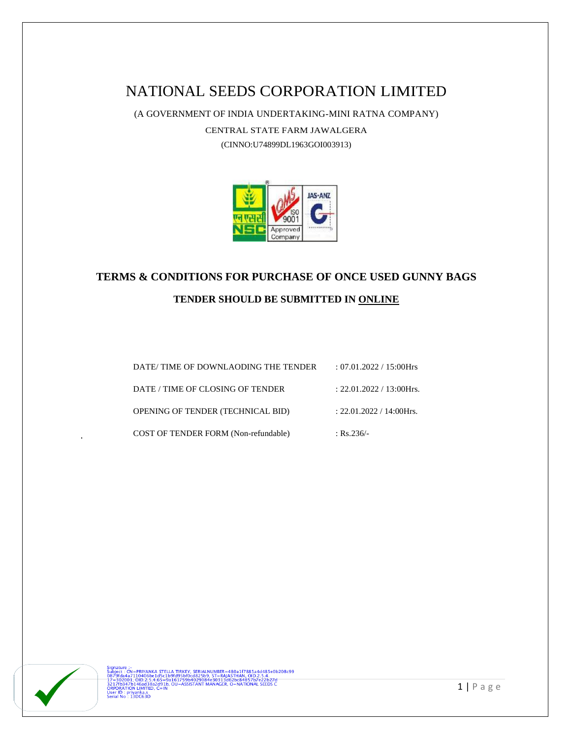# NATIONAL SEEDS CORPORATION LIMITED

(A GOVERNMENT OF INDIA UNDERTAKING-MINI RATNA COMPANY)

CENTRAL STATE FARM JAWALGERA

(CINNO:U74899DL1963GOI003913)



# **TERMS & CONDITIONS FOR PURCHASE OF ONCE USED GUNNY BAGS TENDER SHOULD BE SUBMITTED IN ONLINE**

| DATE/TIME OF DOWNLAODING THE TENDER      | : $07.01.2022 / 15:00$ Hrs  |
|------------------------------------------|-----------------------------|
| DATE / TIME OF CLOSING OF TENDER         | : $22.01.2022 / 13:00$ Hrs. |
| <b>OPENING OF TENDER (TECHNICAL BID)</b> | $: 22.01.2022 / 14:00$ Hrs. |
| COST OF TENDER FORM (Non-refundable)     | : Rs.236/-                  |

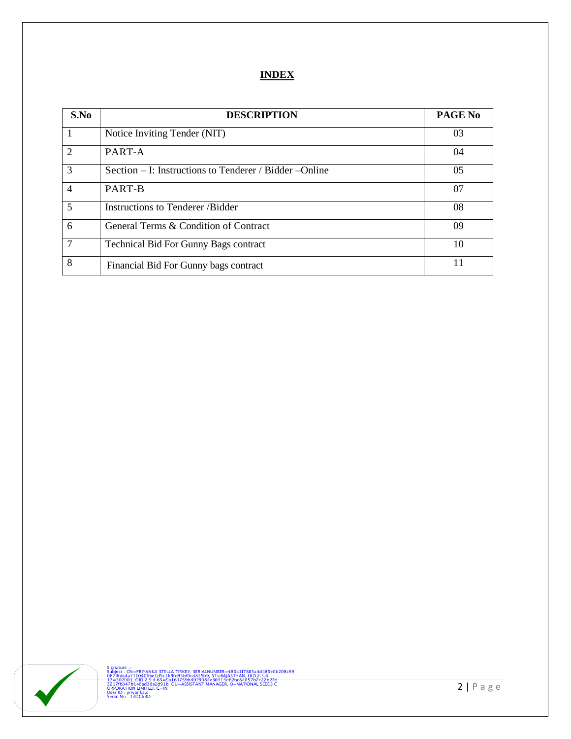#### **INDEX**

| S.No                        | <b>DESCRIPTION</b>                                      | <b>PAGE No</b> |
|-----------------------------|---------------------------------------------------------|----------------|
|                             | Notice Inviting Tender (NIT)                            | 03             |
| $\mathcal{D}_{\mathcal{L}}$ | PART-A                                                  | 04             |
| 3                           | Section – I: Instructions to Tenderer / Bidder – Online | 0 <sub>5</sub> |
| $\overline{4}$              | PART-B                                                  | 07             |
| 5                           | Instructions to Tenderer /Bidder                        | 08             |
| 6                           | General Terms & Condition of Contract                   | 09             |
| $\tau$                      | <b>Technical Bid For Gunny Bags contract</b>            | 10             |
| 8                           | Financial Bid For Gunny bags contract                   | 11             |

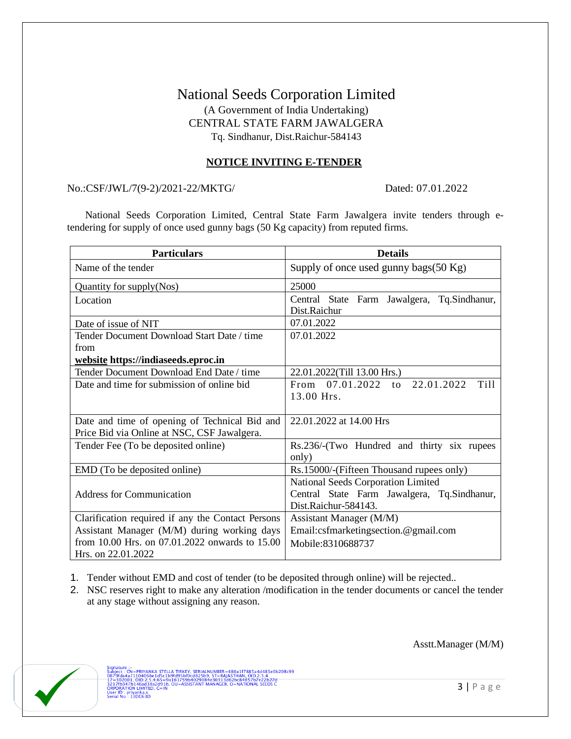## National Seeds Corporation Limited (A Government of India Undertaking) CENTRAL STATE FARM JAWALGERA Tq. Sindhanur, Dist.Raichur-584143

#### **NOTICE INVITING E-TENDER**

#### No.:CSF/JWL/7(9-2)/2021-22/MKTG/ Dated: 07.01.2022

 National Seeds Corporation Limited, Central State Farm Jawalgera invite tenders through etendering for supply of once used gunny bags (50 Kg capacity) from reputed firms.

| <b>Particulars</b>                                 | <b>Details</b>                                              |
|----------------------------------------------------|-------------------------------------------------------------|
| Name of the tender                                 | Supply of once used gunny bags $(50 \text{ Kg})$            |
| Quantity for supply(Nos)                           | 25000                                                       |
| Location                                           | Central State Farm Jawalgera, Tq.Sindhanur,<br>Dist.Raichur |
| Date of issue of NIT                               | 07.01.2022                                                  |
| Tender Document Download Start Date / time<br>from | 07.01.2022                                                  |
| website https://indiaseeds.eproc.in                |                                                             |
| Tender Document Download End Date / time           | 22.01.2022(Till 13.00 Hrs.)                                 |
| Date and time for submission of online bid         | From 07.01.2022 to<br>22.01.2022<br>Till                    |
|                                                    | 13.00 Hrs.                                                  |
| Date and time of opening of Technical Bid and      | 22.01.2022 at 14.00 Hrs                                     |
| Price Bid via Online at NSC, CSF Jawalgera.        |                                                             |
| Tender Fee (To be deposited online)                | Rs.236/-(Two Hundred and thirty six rupees<br>only)         |
| EMD (To be deposited online)                       | Rs.15000/-(Fifteen Thousand rupees only)                    |
|                                                    | National Seeds Corporation Limited                          |
| <b>Address for Communication</b>                   | Central State Farm Jawalgera, Tq.Sindhanur,                 |
|                                                    | Dist.Raichur-584143.                                        |
| Clarification required if any the Contact Persons  | Assistant Manager (M/M)                                     |
| Assistant Manager (M/M) during working days        | Email:csfmarketingsection.@gmail.com                        |
| from 10.00 Hrs. on 07.01.2022 onwards to 15.00     | Mobile:8310688737                                           |
| Hrs. on 22.01.2022                                 |                                                             |

- 1. Tender without EMD and cost of tender (to be deposited through online) will be rejected..
- 2. NSC reserves right to make any alteration /modification in the tender documents or cancel the tender at any stage without assigning any reason.



Signature :-<br>Subject : CN=PRIYANKA STELLA TIRKEY, SERIALNUMBER=480a1f7885a4d485e0b208c99<br>0879fda4a7110406be1d5c1b9fd95bf0cd825b9, ST=RAA6THAN, OID.2.5.4.<br>17=302001, OID:2.5.4.65=9a161759b4029084e30313d62bc84857b7e22b27d<br>22 **ORPORATION LIMITED**<br>User ID : priyanka.s<br>Serial No : 13DC63D

Asstt.Manager (M/M)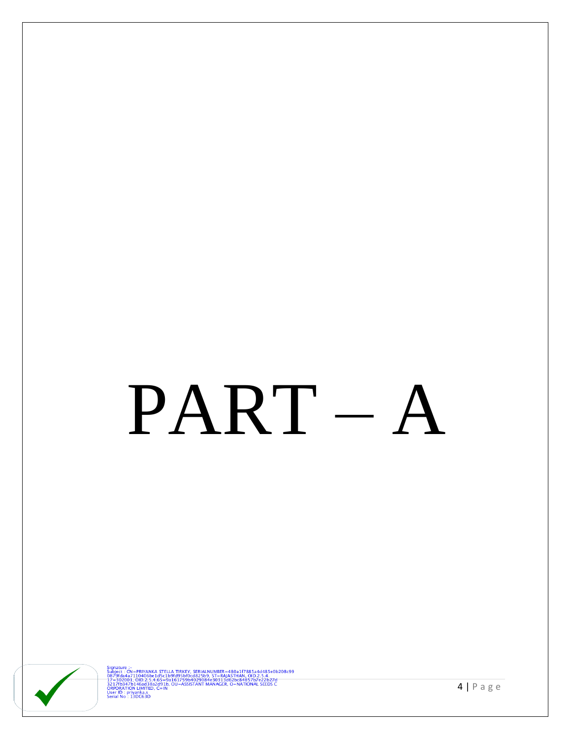# PART-A



Signature :-<br>
Signature :- CN=PRIYANKA STELLA TIRKEY, SERIALNUMBER=480a1f7885a4d485e0b208c99<br>
0879fda4a7110406be1d5c1b9fd95bf0cd825b9, ST=RAJASTHAN, OID2.5.4.<br>
17=302001, OID-2:5:4:65=9a161759b4029084e30313d62bc84857b7e22b

 $4 | P \text{ a } g \text{ e}$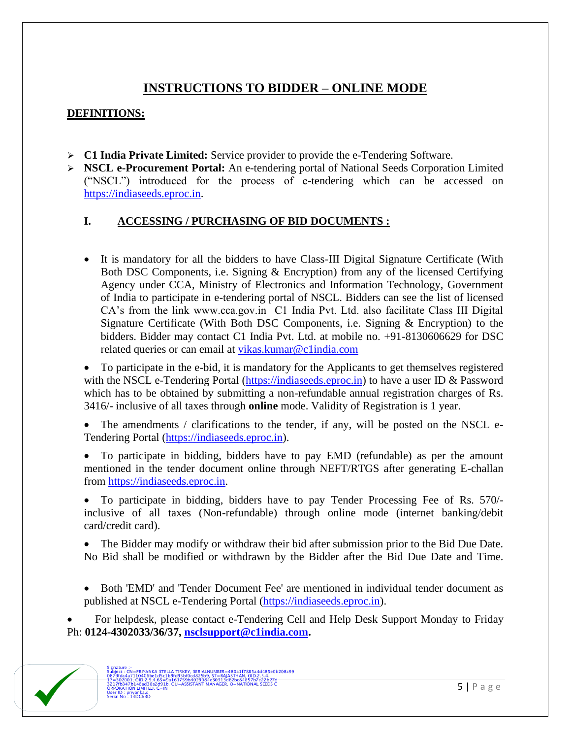## **INSTRUCTIONS TO BIDDER – ONLINE MODE**

### **DEFINITIONS:**

- ➢ **C1 India Private Limited:** Service provider to provide the e-Tendering Software.
- ➢ **NSCL e-Procurement Portal:** An e-tendering portal of National Seeds Corporation Limited ("NSCL") introduced for the process of e-tendering which can be accessed on [https://indiaseeds.eproc.in.](https://indiaseeds.eproc.in/)

### **I. ACCESSING / PURCHASING OF BID DOCUMENTS :**

• It is mandatory for all the bidders to have Class-III Digital Signature Certificate (With Both DSC Components, i.e. Signing & Encryption) from any of the licensed Certifying Agency under CCA, Ministry of Electronics and Information Technology, Government of India to participate in e-tendering portal of NSCL. Bidders can see the list of licensed CA's from the link www.cca.gov.in C1 India Pvt. Ltd. also facilitate Class III Digital Signature Certificate (With Both DSC Components, i.e. Signing & Encryption) to the bidders. Bidder may contact C1 India Pvt. Ltd. at mobile no. +91-8130606629 for DSC related queries or can email at vikas.kumar@c1india.com

• To participate in the e-bid, it is mandatory for the Applicants to get themselves registered with the NSCL e-Tendering Portal [\(https://indiaseeds.eproc.in\)](https://indiaseeds.eproc.in/) to have a user ID & Password which has to be obtained by submitting a non-refundable annual registration charges of Rs. 3416/- inclusive of all taxes through **online** mode. Validity of Registration is 1 year.

The amendments / clarifications to the tender, if any, will be posted on the NSCL e-Tendering Portal [\(https://indiaseeds.eproc.in\)](https://indiaseeds.eproc.in/).

• To participate in bidding, bidders have to pay EMD (refundable) as per the amount mentioned in the tender document online through NEFT/RTGS after generating E-challan from [https://indiaseeds.eproc.in.](https://indiaseeds.eproc.in/)

• To participate in bidding, bidders have to pay Tender Processing Fee of Rs. 570/ inclusive of all taxes (Non-refundable) through online mode (internet banking/debit card/credit card).

• The Bidder may modify or withdraw their bid after submission prior to the Bid Due Date. No Bid shall be modified or withdrawn by the Bidder after the Bid Due Date and Time.

• Both 'EMD' and 'Tender Document Fee' are mentioned in individual tender document as published at NSCL e-Tendering Portal [\(https://indiaseeds.eproc.in\)](https://indiaseeds.eproc.in/).

• For helpdesk, please contact e-Tendering Cell and Help Desk Support Monday to Friday Ph: **0124-4302033/36/37, [nsclsupport@c1india.com.](mailto:nsclsupport@c1india.com)**

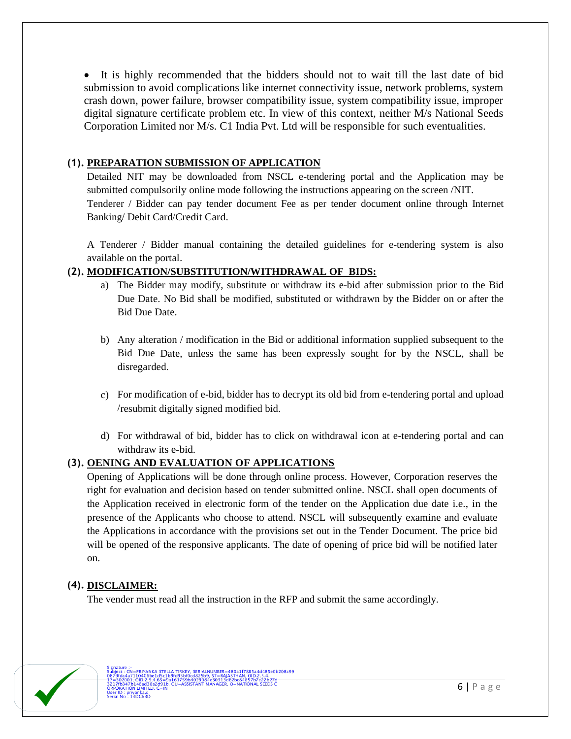• It is highly recommended that the bidders should not to wait till the last date of bid submission to avoid complications like internet connectivity issue, network problems, system crash down, power failure, browser compatibility issue, system compatibility issue, improper digital signature certificate problem etc. In view of this context, neither M/s National Seeds Corporation Limited nor M/s. C1 India Pvt. Ltd will be responsible for such eventualities.

#### **(1). PREPARATION SUBMISSION OF APPLICATION**

Detailed NIT may be downloaded from NSCL e-tendering portal and the Application may be submitted compulsorily online mode following the instructions appearing on the screen /NIT. Tenderer / Bidder can pay tender document Fee as per tender document online through Internet Banking/ Debit Card/Credit Card.

A Tenderer / Bidder manual containing the detailed guidelines for e-tendering system is also available on the portal.

#### **(2). MODIFICATION/SUBSTITUTION/WITHDRAWAL OF BIDS:**

- a) The Bidder may modify, substitute or withdraw its e-bid after submission prior to the Bid Due Date. No Bid shall be modified, substituted or withdrawn by the Bidder on or after the Bid Due Date.
- b) Any alteration / modification in the Bid or additional information supplied subsequent to the Bid Due Date, unless the same has been expressly sought for by the NSCL, shall be disregarded.
- c) For modification of e-bid, bidder has to decrypt its old bid from e-tendering portal and upload /resubmit digitally signed modified bid.
- d) For withdrawal of bid, bidder has to click on withdrawal icon at e-tendering portal and can withdraw its e-bid.

#### **(3). OENING AND EVALUATION OF APPLICATIONS**

Opening of Applications will be done through online process. However, Corporation reserves the right for evaluation and decision based on tender submitted online. NSCL shall open documents of the Application received in electronic form of the tender on the Application due date i.e., in the presence of the Applicants who choose to attend. NSCL will subsequently examine and evaluate the Applications in accordance with the provisions set out in the Tender Document. The price bid will be opened of the responsive applicants. The date of opening of price bid will be notified later on.

#### **(4). DISCLAIMER:**

The vender must read all the instruction in the RFP and submit the same accordingly.

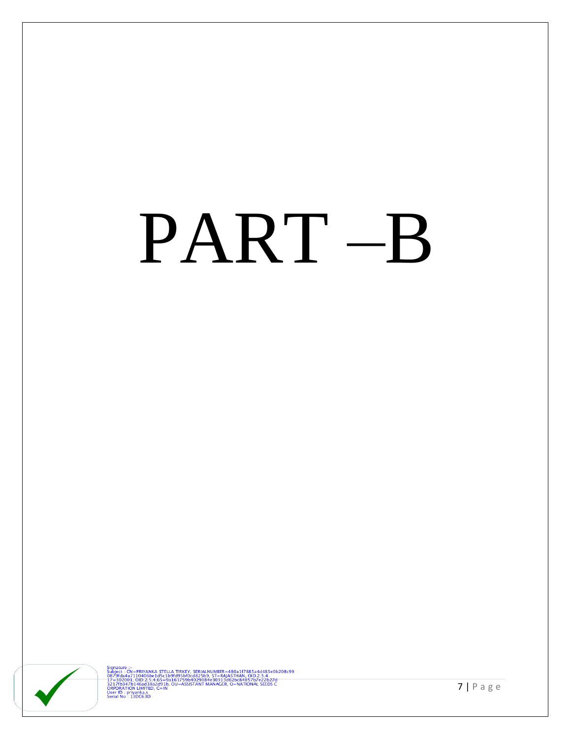# PART-B



Signature :-<br>
Signature :- CN=PRIYANKA STELLA TIRKEY, SERIALNUMBER=480a1f7885a4d485e0b208c99<br>
0879fda4a7110406be1d5c1b9fd95bf0cd825b9, ST=RAJASTHAN, OID.2.5.4.<br>
17=302001, OID.2:5.4.65=9a161759b4029084e30313d62bc84857b7e22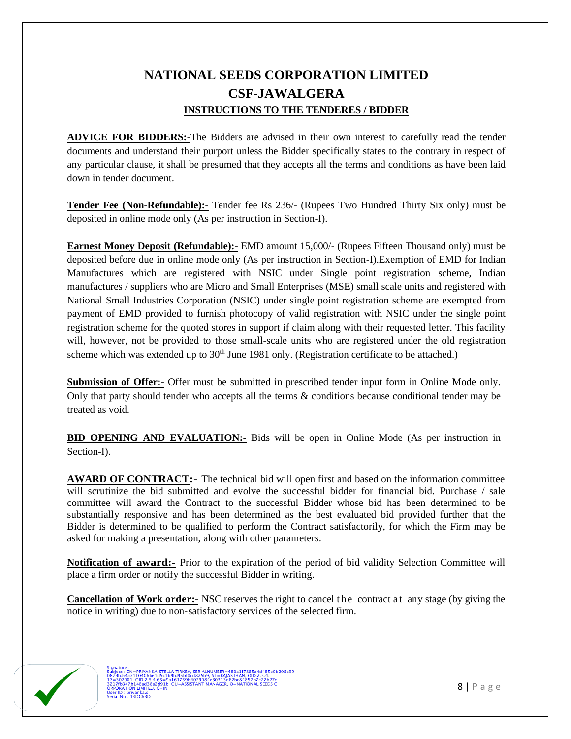## **NATIONAL SEEDS CORPORATION LIMITED CSF-JAWALGERA INSTRUCTIONS TO THE TENDERES / BIDDER**

**ADVICE FOR BIDDERS:-**The Bidders are advised in their own interest to carefully read the tender documents and understand their purport unless the Bidder specifically states to the contrary in respect of any particular clause, it shall be presumed that they accepts all the terms and conditions as have been laid down in tender document.

**Tender Fee (Non-Refundable):-** Tender fee Rs 236/- (Rupees Two Hundred Thirty Six only) must be deposited in online mode only (As per instruction in Section-I).

**Earnest Money Deposit (Refundable):-** EMD amount 15,000/- (Rupees Fifteen Thousand only) must be deposited before due in online mode only (As per instruction in Section-I).Exemption of EMD for Indian Manufactures which are registered with NSIC under Single point registration scheme, Indian manufactures / suppliers who are Micro and Small Enterprises (MSE) small scale units and registered with National Small Industries Corporation (NSIC) under single point registration scheme are exempted from payment of EMD provided to furnish photocopy of valid registration with NSIC under the single point registration scheme for the quoted stores in support if claim along with their requested letter. This facility will, however, not be provided to those small-scale units who are registered under the old registration scheme which was extended up to 30<sup>th</sup> June 1981 only. (Registration certificate to be attached.)

**Submission of Offer:-** Offer must be submitted in prescribed tender input form in Online Mode only. Only that party should tender who accepts all the terms & conditions because conditional tender may be treated as void.

**BID OPENING AND EVALUATION:-** Bids will be open in Online Mode (As per instruction in Section-I).

**AWARD OF CONTRACT:-** The technical bid will open first and based on the information committee will scrutinize the bid submitted and evolve the successful bidder for financial bid. Purchase / sale committee will award the Contract to the successful Bidder whose bid has been determined to be substantially responsive and has been determined as the best evaluated bid provided further that the Bidder is determined to be qualified to perform the Contract satisfactorily, for which the Firm may be asked for making a presentation, along with other parameters.

**Notification of award:-** Prior to the expiration of the period of bid validity Selection Committee will place a firm order or notify the successful Bidder in writing.

**Cancellation of Work order:** NSC reserves the right to cancel the contract at any stage (by giving the notice in writing) due to non-satisfactory services of the selected firm.

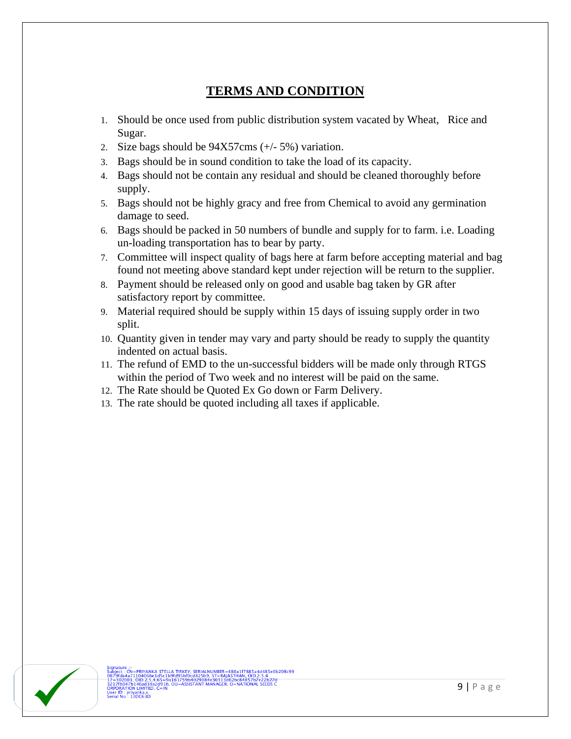## **TERMS AND CONDITION**

- 1. Should be once used from public distribution system vacated by Wheat, Rice and Sugar.
- 2. Size bags should be 94X57cms (+/- 5%) variation.
- 3. Bags should be in sound condition to take the load of its capacity.
- 4. Bags should not be contain any residual and should be cleaned thoroughly before supply.
- 5. Bags should not be highly gracy and free from Chemical to avoid any germination damage to seed.
- 6. Bags should be packed in 50 numbers of bundle and supply for to farm. i.e. Loading un-loading transportation has to bear by party.
- 7. Committee will inspect quality of bags here at farm before accepting material and bag found not meeting above standard kept under rejection will be return to the supplier.
- 8. Payment should be released only on good and usable bag taken by GR after satisfactory report by committee.
- 9. Material required should be supply within 15 days of issuing supply order in two split.
- 10. Quantity given in tender may vary and party should be ready to supply the quantity indented on actual basis.
- 11. The refund of EMD to the un-successful bidders will be made only through RTGS within the period of Two week and no interest will be paid on the same.
- 12. The Rate should be Quoted Ex Go down or Farm Delivery.
- 13. The rate should be quoted including all taxes if applicable.

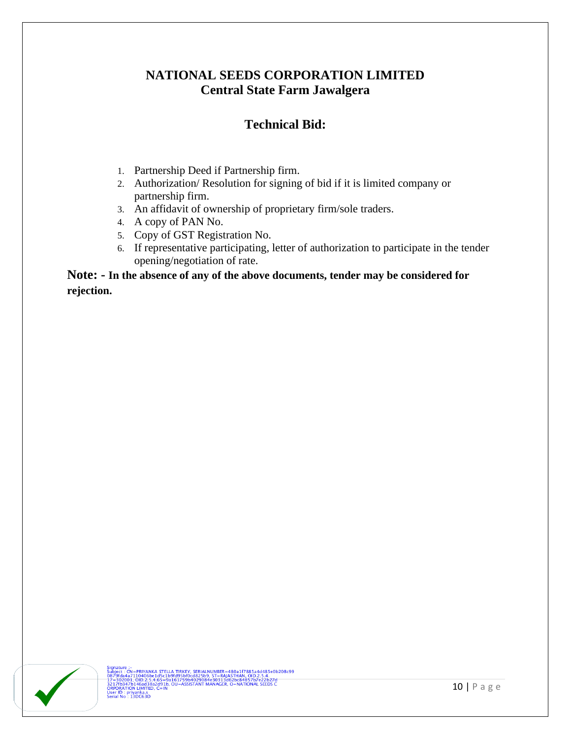## **NATIONAL SEEDS CORPORATION LIMITED Central State Farm Jawalgera**

## **Technical Bid:**

- 1. Partnership Deed if Partnership firm.
- 2. Authorization/ Resolution for signing of bid if it is limited company or partnership firm.
- 3. An affidavit of ownership of proprietary firm/sole traders.
- 4. A copy of PAN No.
- 5. Copy of GST Registration No.
- 6. If representative participating, letter of authorization to participate in the tender opening/negotiation of rate.

**Note: - In the absence of any of the above documents, tender may be considered for rejection.**